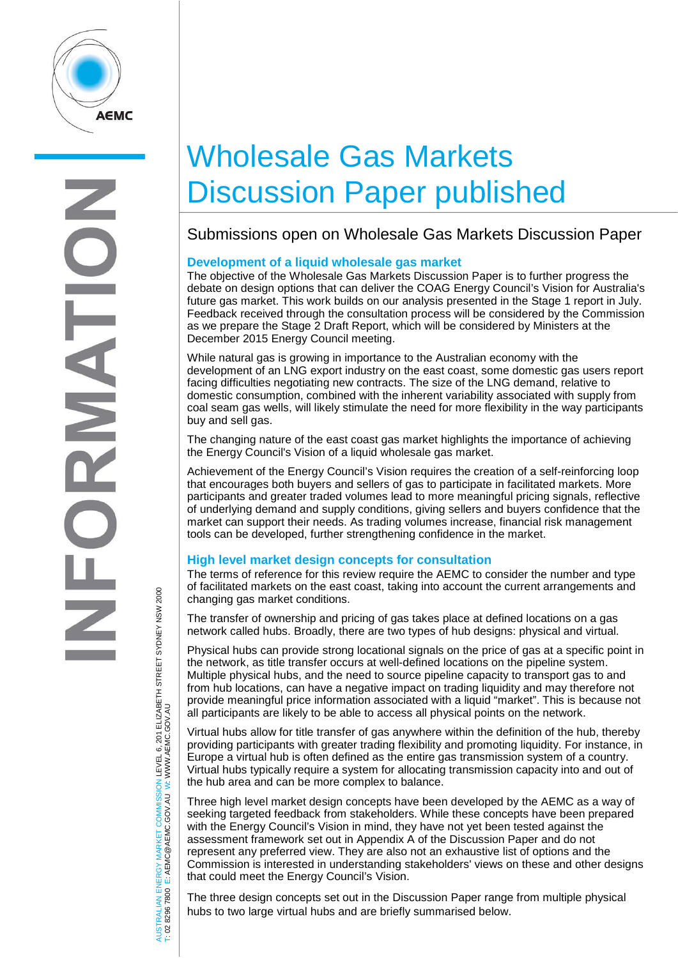

AUSTRALIAN ENERGY MARKET COMMISSION LEVEL 6, 201 ELIZABETH STREET SYDNEY NSW 2000

AUSTRALIAN ENERGY MARKET COMMISSION LEVEL 6, 201 ELIZABETH STREET SYDNEY NSW 2000<br>T: 02 8296 7800 E: AEMC@AEMC.GOV.AU W: WWW.AEMC.GOV.AU

W: WWW.AEMC.GOV.AU

T: 02 8296 7800 E: AEMC@AEMC.GOV.AU

# Wholesale Gas Markets Discussion Paper published

# Submissions open on Wholesale Gas Markets Discussion Paper

## **Development of a liquid wholesale gas market**

The objective of the Wholesale Gas Markets Discussion Paper is to further progress the debate on design options that can deliver the COAG Energy Council's Vision for Australia's future gas market. This work builds on our analysis presented in the Stage 1 report in July. Feedback received through the consultation process will be considered by the Commission as we prepare the Stage 2 Draft Report, which will be considered by Ministers at the December 2015 Energy Council meeting.

While natural gas is growing in importance to the Australian economy with the development of an LNG export industry on the east coast, some domestic gas users report facing difficulties negotiating new contracts. The size of the LNG demand, relative to domestic consumption, combined with the inherent variability associated with supply from coal seam gas wells, will likely stimulate the need for more flexibility in the way participants buy and sell gas.

The changing nature of the east coast gas market highlights the importance of achieving the Energy Council's Vision of a liquid wholesale gas market.

Achievement of the Energy Council's Vision requires the creation of a self-reinforcing loop that encourages both buyers and sellers of gas to participate in facilitated markets. More participants and greater traded volumes lead to more meaningful pricing signals, reflective of underlying demand and supply conditions, giving sellers and buyers confidence that the market can support their needs. As trading volumes increase, financial risk management tools can be developed, further strengthening confidence in the market.

### **High level market design concepts for consultation**

The terms of reference for this review require the AEMC to consider the number and type of facilitated markets on the east coast, taking into account the current arrangements and changing gas market conditions.

The transfer of ownership and pricing of gas takes place at defined locations on a gas network called hubs. Broadly, there are two types of hub designs: physical and virtual.

Physical hubs can provide strong locational signals on the price of gas at a specific point in the network, as title transfer occurs at well-defined locations on the pipeline system. Multiple physical hubs, and the need to source pipeline capacity to transport gas to and from hub locations, can have a negative impact on trading liquidity and may therefore not provide meaningful price information associated with a liquid "market". This is because not all participants are likely to be able to access all physical points on the network.

Virtual hubs allow for title transfer of gas anywhere within the definition of the hub, thereby providing participants with greater trading flexibility and promoting liquidity. For instance, in Europe a virtual hub is often defined as the entire gas transmission system of a country. Virtual hubs typically require a system for allocating transmission capacity into and out of the hub area and can be more complex to balance.

Three high level market design concepts have been developed by the AEMC as a way of seeking targeted feedback from stakeholders. While these concepts have been prepared with the Energy Council's Vision in mind, they have not yet been tested against the assessment framework set out in Appendix A of the Discussion Paper and do not represent any preferred view. They are also not an exhaustive list of options and the Commission is interested in understanding stakeholders' views on these and other designs that could meet the Energy Council's Vision.

The three design concepts set out in the Discussion Paper range from multiple physical hubs to two large virtual hubs and are briefly summarised below.